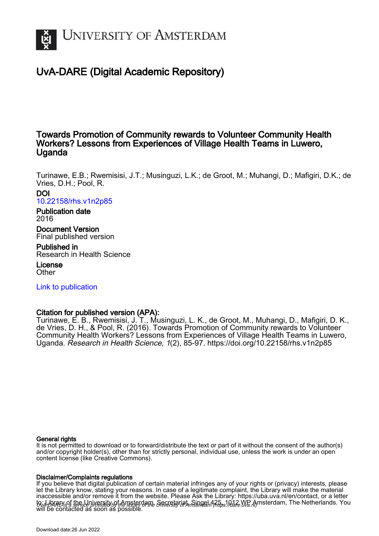

# UvA-DARE (Digital Academic Repository)

# Towards Promotion of Community rewards to Volunteer Community Health Workers? Lessons from Experiences of Village Health Teams in Luwero, Uganda

Turinawe, E.B.; Rwemisisi, J.T.; Musinguzi, L.K.; de Groot, M.; Muhangi, D.; Mafigiri, D.K.; de Vries, D.H.; Pool, R.

# DOI [10.22158/rhs.v1n2p85](https://doi.org/10.22158/rhs.v1n2p85)

# Publication date 2016

Document Version Final published version

Published in Research in Health Science

#### License **Other**

[Link to publication](https://dare.uva.nl/personal/pure/en/publications/towards-promotion-of-community-rewards-to-volunteer-community-health-workers-lessons-from-experiences-of-village-health-teams-in-luwero-uganda(a43e9f78-21a6-4738-bca6-026d4b6bed67).html)

# Citation for published version (APA):

Turinawe, E. B., Rwemisisi, J. T., Musinguzi, L. K., de Groot, M., Muhangi, D., Mafigiri, D. K., de Vries, D. H., & Pool, R. (2016). Towards Promotion of Community rewards to Volunteer Community Health Workers? Lessons from Experiences of Village Health Teams in Luwero, Uganda. Research in Health Science, 1(2), 85-97. <https://doi.org/10.22158/rhs.v1n2p85>

## General rights

It is not permitted to download or to forward/distribute the text or part of it without the consent of the author(s) and/or copyright holder(s), other than for strictly personal, individual use, unless the work is under an open content license (like Creative Commons).

## Disclaimer/Complaints regulations

UvA-DARE is a service provided by the library of the University of Amsterdam (http*s*://dare.uva.nl) If you believe that digital publication of certain material infringes any of your rights or (privacy) interests, please let the Library know, stating your reasons. In case of a legitimate complaint, the Library will make the material inaccessible and/or remove it from the website. Please Ask the Library: https://uba.uva.nl/en/contact, or a letter to: Library of the Linixersity of Amsterdam, Secretariat, Singel 425, 1012 WB Amsterdam, The Netherlands. You will be contacted as soon as possible.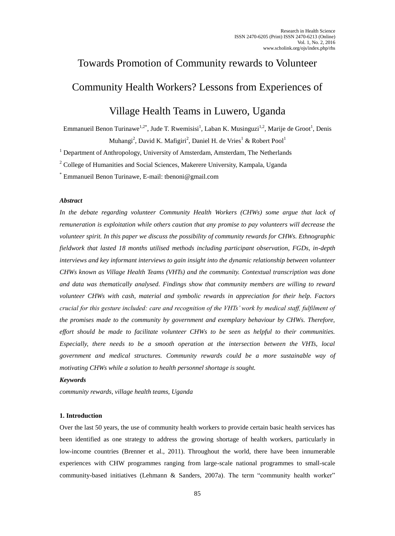# Towards Promotion of Community rewards to Volunteer Community Health Workers? Lessons from Experiences of

# Village Health Teams in Luwero, Uganda

Emmanueil Benon Turinawe<sup>1,2\*</sup>, Jude T. Rwemisisi<sup>1</sup>, Laban K. Musinguzi<sup>1,2</sup>, Marije de Groot<sup>1</sup>, Denis Muhangi<sup>2</sup>, David K. Mafigiri<sup>2</sup>, Daniel H. de Vries<sup>1</sup> & Robert Pool<sup>1</sup>

<sup>1</sup> Department of Anthropology, University of Amsterdam, Amsterdam, The Netherlands

<sup>2</sup> College of Humanities and Social Sciences, Makerere University, Kampala, Uganda

\* Emmanueil Benon Turinawe, E-mail: tbenoni@gmail.com

## *Abstract*

*In the debate regarding volunteer Community Health Workers (CHWs) some argue that lack of remuneration is exploitation while others caution that any promise to pay volunteers will decrease the volunteer spirit. In this paper we discuss the possibility of community rewards for CHWs. Ethnographic fieldwork that lasted 18 months utilised methods including participant observation, FGDs, in-depth interviews and key informant interviews to gain insight into the dynamic relationship between volunteer CHWs known as Village Health Teams (VHTs) and the community. Contextual transcription was done and data was thematically analysed. Findings show that community members are willing to reward volunteer CHWs with cash, material and symbolic rewards in appreciation for their help. Factors crucial for this gesture included: care and recognition of the VHTs' work by medical staff, fulfilment of the promises made to the community by government and exemplary behaviour by CHWs. Therefore, effort should be made to facilitate volunteer CHWs to be seen as helpful to their communities. Especially, there needs to be a smooth operation at the intersection between the VHTs, local government and medical structures. Community rewards could be a more sustainable way of motivating CHWs while a solution to health personnel shortage is sought.* 

## *Keywords*

*community rewards, village health teams, Uganda* 

## **1. Introduction**

Over the last 50 years, the use of community health workers to provide certain basic health services has been identified as one strategy to address the growing shortage of health workers, particularly in low-income countries (Brenner et al., 2011). Throughout the world, there have been innumerable experiences with CHW programmes ranging from large-scale national programmes to small-scale community-based initiatives (Lehmann & Sanders, 2007a). The term "community health worker"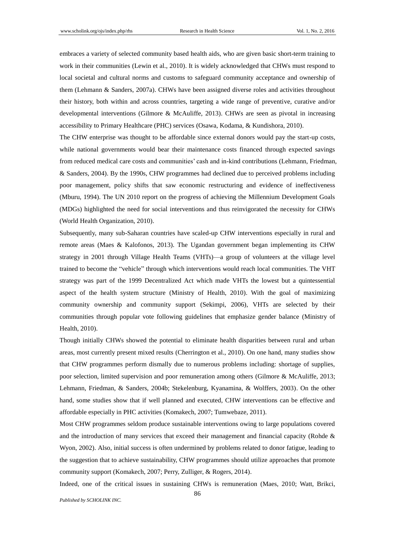embraces a variety of selected community based health aids, who are given basic short-term training to work in their communities (Lewin et al., 2010). It is widely acknowledged that CHWs must respond to local societal and cultural norms and customs to safeguard community acceptance and ownership of them (Lehmann & Sanders, 2007a). CHWs have been assigned diverse roles and activities throughout their history, both within and across countries, targeting a wide range of preventive, curative and/or developmental interventions (Gilmore & McAuliffe, 2013). CHWs are seen as pivotal in increasing accessibility to Primary Healthcare (PHC) services (Osawa, Kodama, & Kundishora, 2010).

The CHW enterprise was thought to be affordable since external donors would pay the start-up costs, while national governments would bear their maintenance costs financed through expected savings from reduced medical care costs and communities' cash and in-kind contributions (Lehmann, Friedman, & Sanders, 2004). By the 1990s, CHW programmes had declined due to perceived problems including poor management, policy shifts that saw economic restructuring and evidence of ineffectiveness (Mburu, 1994). The UN 2010 report on the progress of achieving the Millennium Development Goals (MDGs) highlighted the need for social interventions and thus reinvigorated the necessity for CHWs (World Health Organization, 2010).

Subsequently, many sub-Saharan countries have scaled-up CHW interventions especially in rural and remote areas (Maes & Kalofonos, 2013). The Ugandan government began implementing its CHW strategy in 2001 through Village Health Teams (VHTs)—a group of volunteers at the village level trained to become the "vehicle" through which interventions would reach local communities. The VHT strategy was part of the 1999 Decentralized Act which made VHTs the lowest but a quintessential aspect of the health system structure (Ministry of Health, 2010). With the goal of maximizing community ownership and community support (Sekimpi, 2006), VHTs are selected by their communities through popular vote following guidelines that emphasize gender balance (Ministry of Health, 2010).

Though initially CHWs showed the potential to eliminate health disparities between rural and urban areas, most currently present mixed results (Cherrington et al., 2010). On one hand, many studies show that CHW programmes perform dismally due to numerous problems including: shortage of supplies, poor selection, limited supervision and poor remuneration among others (Gilmore & McAuliffe, 2013; Lehmann, Friedman, & Sanders, 2004b; Stekelenburg, Kyanamina, & Wolffers, 2003). On the other hand, some studies show that if well planned and executed, CHW interventions can be effective and affordable especially in PHC activities (Komakech, 2007; Tumwebaze, 2011).

Most CHW programmes seldom produce sustainable interventions owing to large populations covered and the introduction of many services that exceed their management and financial capacity (Rohde & Wyon, 2002). Also, initial success is often undermined by problems related to donor fatigue, leading to the suggestion that to achieve sustainability, CHW programmes should utilize approaches that promote community support (Komakech, 2007; Perry, Zulliger, & Rogers, 2014).

Indeed, one of the critical issues in sustaining CHWs is remuneration (Maes, 2010; Watt, Brikci,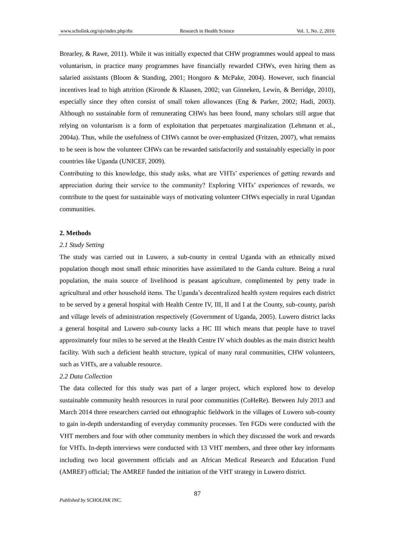Brearley, & Rawe, 2011). While it was initially expected that CHW programmes would appeal to mass voluntarism, in practice many programmes have financially rewarded CHWs, even hiring them as salaried assistants (Bloom & Standing, 2001; Hongoro & McPake, 2004). However, such financial incentives lead to high attrition (Kironde & Klaasen, 2002; van Ginneken, Lewin, & Berridge, 2010), especially since they often consist of small token allowances (Eng & Parker, 2002; Hadi, 2003). Although no sustainable form of remunerating CHWs has been found, many scholars still argue that relying on voluntarism is a form of exploitation that perpetuates marginalization (Lehmann et al., 2004a). Thus, while the usefulness of CHWs cannot be over-emphasized (Fritzen, 2007), what remains to be seen is how the volunteer CHWs can be rewarded satisfactorily and sustainably especially in poor countries like Uganda (UNICEF, 2009).

Contributing to this knowledge, this study asks, what are VHTs' experiences of getting rewards and appreciation during their service to the community? Exploring VHTs' experiences of rewards, we contribute to the quest for sustainable ways of motivating volunteer CHWs especially in rural Ugandan communities.

#### **2. Methods**

#### *2.1 Study Setting*

The study was carried out in Luwero, a sub-county in central Uganda with an ethnically mixed population though most small ethnic minorities have assimilated to the Ganda culture. Being a rural population, the main source of livelihood is peasant agriculture, complimented by petty trade in agricultural and other household items. The Uganda's decentralized health system requires each district to be served by a general hospital with Health Centre IV, III, II and I at the County, sub-county, parish and village levels of administration respectively (Government of Uganda, 2005). Luwero district lacks a general hospital and Luwero sub-county lacks a HC III which means that people have to travel approximately four miles to be served at the Health Centre IV which doubles as the main district health facility. With such a deficient health structure, typical of many rural communities, CHW volunteers, such as VHTs, are a valuable resource.

#### *2.2 Data Collection*

The data collected for this study was part of a larger project, which explored how to develop sustainable community health resources in rural poor communities (CoHeRe). Between July 2013 and March 2014 three researchers carried out ethnographic fieldwork in the villages of Luwero sub-county to gain in-depth understanding of everyday community processes. Ten FGDs were conducted with the VHT members and four with other community members in which they discussed the work and rewards for VHTs. In-depth interviews were conducted with 13 VHT members, and three other key informants including two local government officials and an African Medical Research and Education Fund (AMREF) official; The AMREF funded the initiation of the VHT strategy in Luwero district.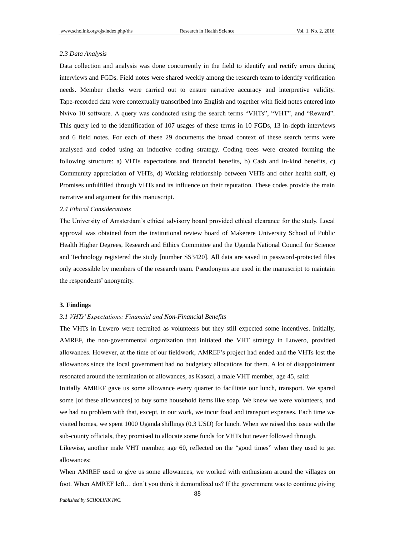#### *2.3 Data Analysis*

Data collection and analysis was done concurrently in the field to identify and rectify errors during interviews and FGDs. Field notes were shared weekly among the research team to identify verification needs. Member checks were carried out to ensure narrative accuracy and interpretive validity. Tape-recorded data were contextually transcribed into English and together with field notes entered into Nvivo 10 software. A query was conducted using the search terms "VHTs", "VHT", and "Reward". This query led to the identification of 107 usages of these terms in 10 FGDs, 13 in-depth interviews and 6 field notes. For each of these 29 documents the broad context of these search terms were analysed and coded using an inductive coding strategy. Coding trees were created forming the following structure: a) VHTs expectations and financial benefits, b) Cash and in-kind benefits, c) Community appreciation of VHTs, d) Working relationship between VHTs and other health staff, e) Promises unfulfilled through VHTs and its influence on their reputation. These codes provide the main narrative and argument for this manuscript.

#### *2.4 Ethical Considerations*

The University of Amsterdam's ethical advisory board provided ethical clearance for the study. Local approval was obtained from the institutional review board of Makerere University School of Public Health Higher Degrees, Research and Ethics Committee and the Uganda National Council for Science and Technology registered the study [number SS3420]. All data are saved in password-protected files only accessible by members of the research team. Pseudonyms are used in the manuscript to maintain the respondents' anonymity.

#### **3. Findings**

#### *3.1 VHTs' Expectations: Financial and Non-Financial Benefits*

The VHTs in Luwero were recruited as volunteers but they still expected some incentives. Initially, AMREF, the non-governmental organization that initiated the VHT strategy in Luwero, provided allowances. However, at the time of our fieldwork, AMREF's project had ended and the VHTs lost the allowances since the local government had no budgetary allocations for them. A lot of disappointment resonated around the termination of allowances, as Kasozi, a male VHT member, age 45, said:

Initially AMREF gave us some allowance every quarter to facilitate our lunch, transport. We spared some [of these allowances] to buy some household items like soap. We knew we were volunteers, and we had no problem with that, except, in our work, we incur food and transport expenses. Each time we visited homes, we spent 1000 Uganda shillings (0.3 USD) for lunch. When we raised this issue with the sub-county officials, they promised to allocate some funds for VHTs but never followed through.

Likewise, another male VHT member, age 60, reflected on the "good times" when they used to get allowances:

When AMREF used to give us some allowances, we worked with enthusiasm around the villages on foot. When AMREF left… don't you think it demoralized us? If the government was to continue giving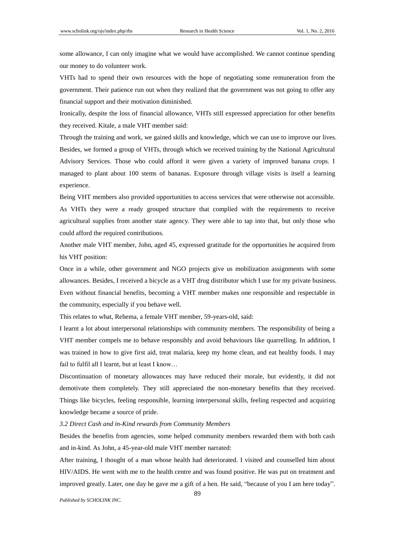some allowance, I can only imagine what we would have accomplished. We cannot continue spending our money to do volunteer work.

VHTs had to spend their own resources with the hope of negotiating some remuneration from the government. Their patience run out when they realized that the government was not going to offer any financial support and their motivation diminished.

Ironically, despite the loss of financial allowance, VHTs still expressed appreciation for other benefits they received. Kitale, a male VHT member said:

Through the training and work, we gained skills and knowledge, which we can use to improve our lives. Besides, we formed a group of VHTs, through which we received training by the National Agricultural Advisory Services. Those who could afford it were given a variety of improved banana crops. I managed to plant about 100 stems of bananas. Exposure through village visits is itself a learning experience.

Being VHT members also provided opportunities to access services that were otherwise not accessible. As VHTs they were a ready grouped structure that complied with the requirements to receive agricultural supplies from another state agency. They were able to tap into that, but only those who could afford the required contributions.

Another male VHT member, John, aged 45, expressed gratitude for the opportunities he acquired from his VHT position:

Once in a while, other government and NGO projects give us mobilization assignments with some allowances. Besides, I received a bicycle as a VHT drug distributor which I use for my private business. Even without financial benefits, becoming a VHT member makes one responsible and respectable in the community, especially if you behave well.

This relates to what, Rehema, a female VHT member, 59-years-old, said:

I learnt a lot about interpersonal relationships with community members. The responsibility of being a VHT member compels me to behave responsibly and avoid behaviours like quarrelling. In addition, I was trained in how to give first aid, treat malaria, keep my home clean, and eat healthy foods. I may fail to fulfil all I learnt, but at least I know…

Discontinuation of monetary allowances may have reduced their morale, but evidently, it did not demotivate them completely. They still appreciated the non-monetary benefits that they received. Things like bicycles, feeling responsible, learning interpersonal skills, feeling respected and acquiring knowledge became a source of pride.

#### *3.2 Direct Cash and in-Kind rewards from Community Members*

Besides the benefits from agencies, some helped community members rewarded them with both cash and in-kind. As John, a 45-year-old male VHT member narrated:

After training, I thought of a man whose health had deteriorated. I visited and counselled him about HIV/AIDS. He went with me to the health centre and was found positive. He was put on treatment and improved greatly. Later, one day he gave me a gift of a hen. He said, "because of you I am here today".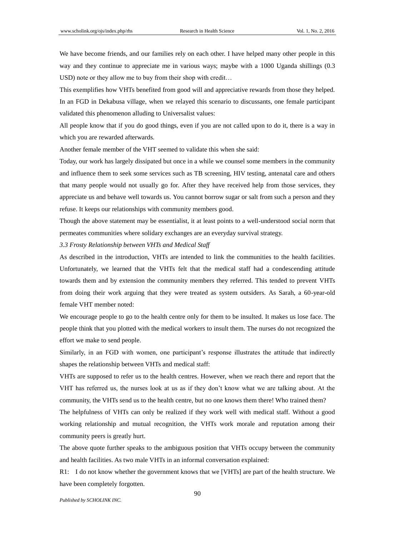We have become friends, and our families rely on each other. I have helped many other people in this way and they continue to appreciate me in various ways; maybe with a 1000 Uganda shillings (0.3 USD) note or they allow me to buy from their shop with credit…

This exemplifies how VHTs benefited from good will and appreciative rewards from those they helped. In an FGD in Dekabusa village, when we relayed this scenario to discussants, one female participant validated this phenomenon alluding to Universalist values:

All people know that if you do good things, even if you are not called upon to do it, there is a way in which you are rewarded afterwards.

Another female member of the VHT seemed to validate this when she said:

Today, our work has largely dissipated but once in a while we counsel some members in the community and influence them to seek some services such as TB screening, HIV testing, antenatal care and others that many people would not usually go for. After they have received help from those services, they appreciate us and behave well towards us. You cannot borrow sugar or salt from such a person and they refuse. It keeps our relationships with community members good.

Though the above statement may be essentialist, it at least points to a well-understood social norm that permeates communities where solidary exchanges are an everyday survival strategy.

*3.3 Frosty Relationship between VHTs and Medical Staff*

As described in the introduction, VHTs are intended to link the communities to the health facilities. Unfortunately, we learned that the VHTs felt that the medical staff had a condescending attitude towards them and by extension the community members they referred. This tended to prevent VHTs from doing their work arguing that they were treated as system outsiders. As Sarah, a 60-year-old female VHT member noted:

We encourage people to go to the health centre only for them to be insulted. It makes us lose face. The people think that you plotted with the medical workers to insult them. The nurses do not recognized the effort we make to send people.

Similarly, in an FGD with women, one participant's response illustrates the attitude that indirectly shapes the relationship between VHTs and medical staff:

VHTs are supposed to refer us to the health centres. However, when we reach there and report that the VHT has referred us, the nurses look at us as if they don't know what we are talking about. At the community, the VHTs send us to the health centre, but no one knows them there! Who trained them?

The helpfulness of VHTs can only be realized if they work well with medical staff. Without a good working relationship and mutual recognition, the VHTs work morale and reputation among their community peers is greatly hurt.

The above quote further speaks to the ambiguous position that VHTs occupy between the community and health facilities. As two male VHTs in an informal conversation explained:

R1: I do not know whether the government knows that we [VHTs] are part of the health structure. We have been completely forgotten.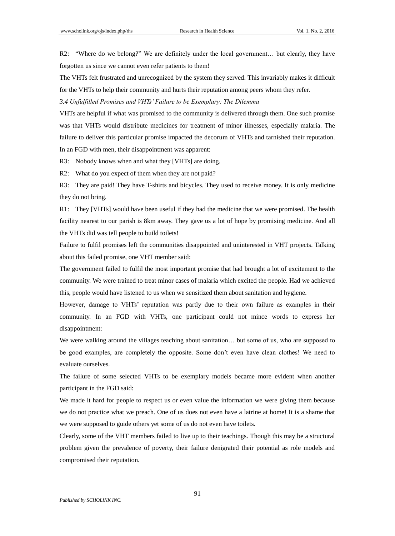R2: "Where do we belong?" We are definitely under the local government… but clearly, they have forgotten us since we cannot even refer patients to them!

The VHTs felt frustrated and unrecognized by the system they served. This invariably makes it difficult for the VHTs to help their community and hurts their reputation among peers whom they refer.

*3.4 Unfulfilled Promises and VHTs' Failure to be Exemplary: The Dilemma* 

VHTs are helpful if what was promised to the community is delivered through them. One such promise was that VHTs would distribute medicines for treatment of minor illnesses, especially malaria. The failure to deliver this particular promise impacted the decorum of VHTs and tarnished their reputation. In an FGD with men, their disappointment was apparent:

R3: Nobody knows when and what they [VHTs] are doing.

R2: What do you expect of them when they are not paid?

R3: They are paid! They have T-shirts and bicycles. They used to receive money. It is only medicine they do not bring.

R1: They [VHTs] would have been useful if they had the medicine that we were promised. The health facility nearest to our parish is 8km away. They gave us a lot of hope by promising medicine. And all the VHTs did was tell people to build toilets!

Failure to fulfil promises left the communities disappointed and uninterested in VHT projects. Talking about this failed promise, one VHT member said:

The government failed to fulfil the most important promise that had brought a lot of excitement to the community. We were trained to treat minor cases of malaria which excited the people. Had we achieved this, people would have listened to us when we sensitized them about sanitation and hygiene.

However, damage to VHTs' reputation was partly due to their own failure as examples in their community. In an FGD with VHTs, one participant could not mince words to express her disappointment:

We were walking around the villages teaching about sanitation… but some of us, who are supposed to be good examples, are completely the opposite. Some don't even have clean clothes! We need to evaluate ourselves.

The failure of some selected VHTs to be exemplary models became more evident when another participant in the FGD said:

We made it hard for people to respect us or even value the information we were giving them because we do not practice what we preach. One of us does not even have a latrine at home! It is a shame that we were supposed to guide others yet some of us do not even have toilets.

Clearly, some of the VHT members failed to live up to their teachings. Though this may be a structural problem given the prevalence of poverty, their failure denigrated their potential as role models and compromised their reputation.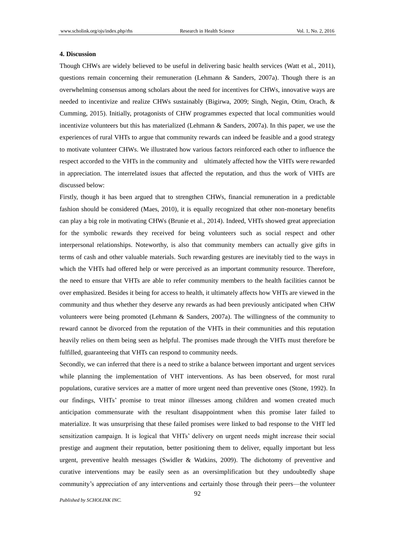#### **4. Discussion**

Though CHWs are widely believed to be useful in delivering basic health services (Watt et al., 2011), questions remain concerning their remuneration (Lehmann & Sanders, 2007a). Though there is an overwhelming consensus among scholars about the need for incentives for CHWs, innovative ways are needed to incentivize and realize CHWs sustainably (Bigirwa, 2009; Singh, Negin, Otim, Orach, & Cumming, 2015). Initially, protagonists of CHW programmes expected that local communities would incentivize volunteers but this has materialized (Lehmann & Sanders, 2007a). In this paper, we use the experiences of rural VHTs to argue that community rewards can indeed be feasible and a good strategy to motivate volunteer CHWs. We illustrated how various factors reinforced each other to influence the respect accorded to the VHTs in the community and ultimately affected how the VHTs were rewarded in appreciation. The interrelated issues that affected the reputation, and thus the work of VHTs are discussed below:

Firstly, though it has been argued that to strengthen CHWs, financial remuneration in a predictable fashion should be considered (Maes, 2010), it is equally recognized that other non-monetary benefits can play a big role in motivating CHWs (Brunie et al., 2014). Indeed, VHTs showed great appreciation for the symbolic rewards they received for being volunteers such as social respect and other interpersonal relationships. Noteworthy, is also that community members can actually give gifts in terms of cash and other valuable materials. Such rewarding gestures are inevitably tied to the ways in which the VHTs had offered help or were perceived as an important community resource. Therefore, the need to ensure that VHTs are able to refer community members to the health facilities cannot be over emphasized. Besides it being for access to health, it ultimately affects how VHTs are viewed in the community and thus whether they deserve any rewards as had been previously anticipated when CHW volunteers were being promoted (Lehmann & Sanders, 2007a). The willingness of the community to reward cannot be divorced from the reputation of the VHTs in their communities and this reputation heavily relies on them being seen as helpful. The promises made through the VHTs must therefore be fulfilled, guaranteeing that VHTs can respond to community needs.

Secondly, we can inferred that there is a need to strike a balance between important and urgent services while planning the implementation of VHT interventions. As has been observed, for most rural populations, curative services are a matter of more urgent need than preventive ones (Stone, 1992). In our findings, VHTs' promise to treat minor illnesses among children and women created much anticipation commensurate with the resultant disappointment when this promise later failed to materialize. It was unsurprising that these failed promises were linked to bad response to the VHT led sensitization campaign. It is logical that VHTs' delivery on urgent needs might increase their social prestige and augment their reputation, better positioning them to deliver, equally important but less urgent, preventive health messages (Swidler & Watkins, 2009). The dichotomy of preventive and curative interventions may be easily seen as an oversimplification but they undoubtedly shape community's appreciation of any interventions and certainly those through their peers—the volunteer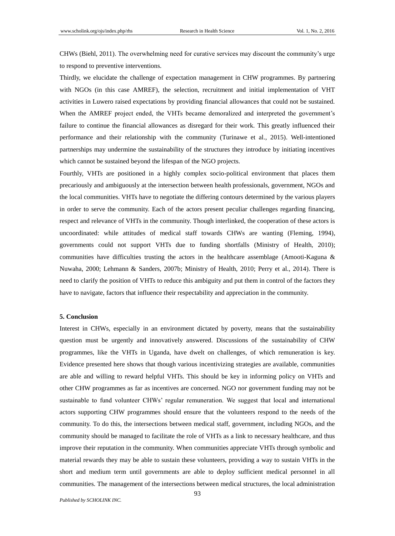CHWs (Biehl, 2011). The overwhelming need for curative services may discount the community's urge to respond to preventive interventions.

Thirdly, we elucidate the challenge of expectation management in CHW programmes. By partnering with NGOs (in this case AMREF), the selection, recruitment and initial implementation of VHT activities in Luwero raised expectations by providing financial allowances that could not be sustained. When the AMREF project ended, the VHTs became demoralized and interpreted the government's failure to continue the financial allowances as disregard for their work. This greatly influenced their performance and their relationship with the community (Turinawe et al., 2015). Well-intentioned partnerships may undermine the sustainability of the structures they introduce by initiating incentives which cannot be sustained beyond the lifespan of the NGO projects.

Fourthly, VHTs are positioned in a highly complex socio-political environment that places them precariously and ambiguously at the intersection between health professionals, government, NGOs and the local communities. VHTs have to negotiate the differing contours determined by the various players in order to serve the community. Each of the actors present peculiar challenges regarding financing, respect and relevance of VHTs in the community. Though interlinked, the cooperation of these actors is uncoordinated: while attitudes of medical staff towards CHWs are wanting (Fleming, 1994), governments could not support VHTs due to funding shortfalls (Ministry of Health, 2010); communities have difficulties trusting the actors in the healthcare assemblage (Amooti-Kaguna & Nuwaha, 2000; Lehmann & Sanders, 2007b; Ministry of Health, 2010; Perry et al., 2014). There is need to clarify the position of VHTs to reduce this ambiguity and put them in control of the factors they have to navigate, factors that influence their respectability and appreciation in the community.

#### **5. Conclusion**

Interest in CHWs, especially in an environment dictated by poverty, means that the sustainability question must be urgently and innovatively answered. Discussions of the sustainability of CHW programmes, like the VHTs in Uganda, have dwelt on challenges, of which remuneration is key. Evidence presented here shows that though various incentivizing strategies are available, communities are able and willing to reward helpful VHTs. This should be key in informing policy on VHTs and other CHW programmes as far as incentives are concerned. NGO nor government funding may not be sustainable to fund volunteer CHWs' regular remuneration. We suggest that local and international actors supporting CHW programmes should ensure that the volunteers respond to the needs of the community. To do this, the intersections between medical staff, government, including NGOs, and the community should be managed to facilitate the role of VHTs as a link to necessary healthcare, and thus improve their reputation in the community. When communities appreciate VHTs through symbolic and material rewards they may be able to sustain these volunteers, providing a way to sustain VHTs in the short and medium term until governments are able to deploy sufficient medical personnel in all communities. The management of the intersections between medical structures, the local administration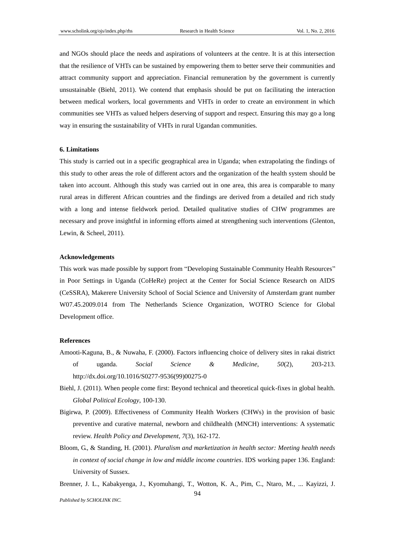and NGOs should place the needs and aspirations of volunteers at the centre. It is at this intersection that the resilience of VHTs can be sustained by empowering them to better serve their communities and attract community support and appreciation. Financial remuneration by the government is currently unsustainable (Biehl, 2011). We contend that emphasis should be put on facilitating the interaction between medical workers, local governments and VHTs in order to create an environment in which communities see VHTs as valued helpers deserving of support and respect. Ensuring this may go a long way in ensuring the sustainability of VHTs in rural Ugandan communities.

#### **6. Limitations**

This study is carried out in a specific geographical area in Uganda; when extrapolating the findings of this study to other areas the role of different actors and the organization of the health system should be taken into account. Although this study was carried out in one area, this area is comparable to many rural areas in different African countries and the findings are derived from a detailed and rich study with a long and intense fieldwork period. Detailed qualitative studies of CHW programmes are necessary and prove insightful in informing efforts aimed at strengthening such interventions (Glenton, Lewin, & Scheel, 2011).

#### **Acknowledgements**

This work was made possible by support from "Developing Sustainable Community Health Resources" in Poor Settings in Uganda (CoHeRe) project at the Center for Social Science Research on AIDS (CeSSRA), Makerere University School of Social Science and University of Amsterdam grant number W07.45.2009.014 from The Netherlands Science Organization, WOTRO Science for Global Development office.

#### **References**

- Amooti-Kaguna, B., & Nuwaha, F. (2000). Factors influencing choice of delivery sites in rakai district of uganda. *Social Science & Medicine*, *50*(2), 203-213. http://dx.doi.org/10.1016/S0277-9536(99)00275-0
- Biehl, J. (2011). When people come first: Beyond technical and theoretical quick-fixes in global health. *Global Political Ecology*, 100-130.
- Bigirwa, P. (2009). Effectiveness of Community Health Workers (CHWs) in the provision of basic preventive and curative maternal, newborn and childhealth (MNCH) interventions: A systematic review. *Health Policy and Development*, *7*(3), 162-172.
- Bloom, G., & Standing, H. (2001). *Pluralism and marketization in health sector: Meeting health needs in context of social change in low and middle income countries*. IDS working paper 136. England: University of Sussex.
- 94 Brenner, J. L., Kabakyenga, J., Kyomuhangi, T., Wotton, K. A., Pim, C., Ntaro, M., ... Kayizzi, J.

*Published by SCHOLINK INC.*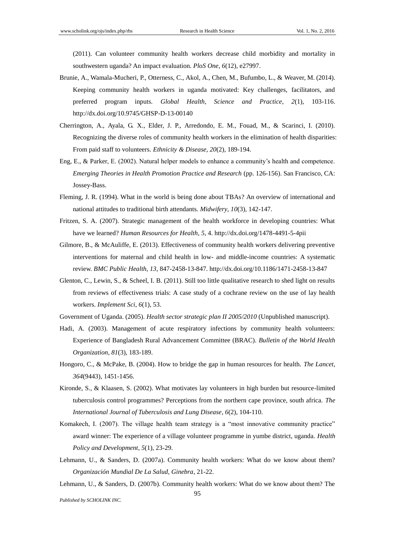(2011). Can volunteer community health workers decrease child morbidity and mortality in southwestern uganda? An impact evaluation. *PloS One*, *6*(12), e27997.

- Brunie, A., Wamala-Mucheri, P., Otterness, C., Akol, A., Chen, M., Bufumbo, L., & Weaver, M. (2014). Keeping community health workers in uganda motivated: Key challenges, facilitators, and preferred program inputs. *Global Health, Science and Practice*, *2*(1), 103-116. http://dx.doi.org/10.9745/GHSP-D-13-00140
- Cherrington, A., Ayala, G. X., Elder, J. P., Arredondo, E. M., Fouad, M., & Scarinci, I. (2010). Recognizing the diverse roles of community health workers in the elimination of health disparities: From paid staff to volunteers. *Ethnicity & Disease*, *20*(2), 189-194.
- Eng, E., & Parker, E. (2002). Natural helper models to enhance a community's health and competence. *Emerging Theories in Health Promotion Practice and Research* (pp. 126-156). San Francisco, CA: Jossey-Bass.
- Fleming, J. R. (1994). What in the world is being done about TBAs? An overview of international and national attitudes to traditional birth attendants. *Midwifery*, *10*(3), 142-147.
- Fritzen, S. A. (2007). Strategic management of the health workforce in developing countries: What have we learned? *Human Resources for Health*, *5*, 4. http://dx.doi.org/1478-4491-5-4pii
- Gilmore, B., & McAuliffe, E. (2013). Effectiveness of community health workers delivering preventive interventions for maternal and child health in low- and middle-income countries: A systematic review. *BMC Public Health*, *13*, 847-2458-13-847. http://dx.doi.org/10.1186/1471-2458-13-847
- Glenton, C., Lewin, S., & Scheel, I. B. (2011). Still too little qualitative research to shed light on results from reviews of effectiveness trials: A case study of a cochrane review on the use of lay health workers. *Implement Sci*, *6*(1), 53.
- Government of Uganda. (2005). *Health sector strategic plan II 2005/2010* (Unpublished manuscript).
- Hadi, A. (2003). Management of acute respiratory infections by community health volunteers: Experience of Bangladesh Rural Advancement Committee (BRAC). *Bulletin of the World Health Organization*, *81*(3), 183-189.
- Hongoro, C., & McPake, B. (2004). How to bridge the gap in human resources for health. *The Lancet*, *364*(9443), 1451-1456.
- Kironde, S., & Klaasen, S. (2002). What motivates lay volunteers in high burden but resource-limited tuberculosis control programmes? Perceptions from the northern cape province, south africa. *The International Journal of Tuberculosis and Lung Disease*, *6*(2), 104-110.
- Komakech, I. (2007). The village health team strategy is a "most innovative community practice" award winner: The experience of a village volunteer programme in yumbe district, uganda. *Health Policy and Development*, *5*(1), 23-29.
- Lehmann, U., & Sanders, D. (2007a). Community health workers: What do we know about them? *Organización Mundial De La Salud, Ginebra*, 21-22.
- Lehmann, U., & Sanders, D. (2007b). Community health workers: What do we know about them? The

*Published by SCHOLINK INC.*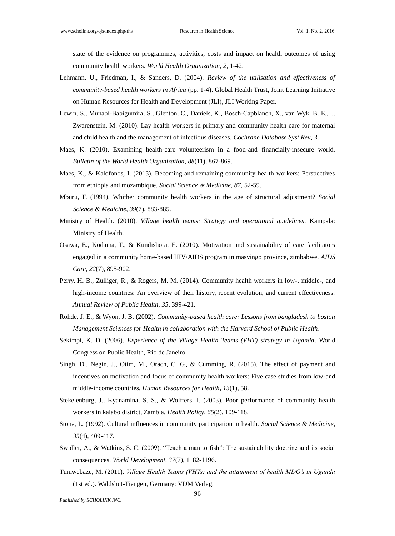state of the evidence on programmes, activities, costs and impact on health outcomes of using community health workers. *World Health Organization*, *2*, 1-42.

- Lehmann, U., Friedman, I., & Sanders, D. (2004). *Review of the utilisation and effectiveness of community-based health workers in Africa* (pp. 1-4). Global Health Trust, Joint Learning Initiative on Human Resources for Health and Development (JLI), JLI Working Paper.
- Lewin, S., Munabi-Babigumira, S., Glenton, C., Daniels, K., Bosch-Capblanch, X., van Wyk, B. E., ... Zwarenstein, M. (2010). Lay health workers in primary and community health care for maternal and child health and the management of infectious diseases. *Cochrane Database Syst Rev*, *3*.
- Maes, K. (2010). Examining health-care volunteerism in a food-and financially-insecure world. *Bulletin of the World Health Organization*, *88*(11), 867-869.
- Maes, K., & Kalofonos, I. (2013). Becoming and remaining community health workers: Perspectives from ethiopia and mozambique. *Social Science & Medicine*, *87*, 52-59.
- Mburu, F. (1994). Whither community health workers in the age of structural adjustment? *Social Science & Medicine*, *39*(7), 883-885.
- Ministry of Health. (2010). *Village health teams: Strategy and operational guidelines*. Kampala: Ministry of Health.
- Osawa, E., Kodama, T., & Kundishora, E. (2010). Motivation and sustainability of care facilitators engaged in a community home-based HIV/AIDS program in masvingo province, zimbabwe. *AIDS Care*, *22*(7), 895-902.
- Perry, H. B., Zulliger, R., & Rogers, M. M. (2014). Community health workers in low-, middle-, and high-income countries: An overview of their history, recent evolution, and current effectiveness. *Annual Review of Public Health*, *35*, 399-421.
- Rohde, J. E., & Wyon, J. B. (2002). *Community-based health care: Lessons from bangladesh to boston Management Sciences for Health in collaboration with the Harvard School of Public Health*.
- Sekimpi, K. D. (2006). *Experience of the Village Health Teams (VHT) strategy in Uganda*. World Congress on Public Health, Rio de Janeiro.
- Singh, D., Negin, J., Otim, M., Orach, C. G., & Cumming, R. (2015). The effect of payment and incentives on motivation and focus of community health workers: Five case studies from low-and middle-income countries. *Human Resources for Health*, *13*(1), 58.
- Stekelenburg, J., Kyanamina, S. S., & Wolffers, I. (2003). Poor performance of community health workers in kalabo district, Zambia. *Health Policy*, *65*(2), 109-118.
- Stone, L. (1992). Cultural influences in community participation in health. *Social Science & Medicine*, *35*(4), 409-417.
- Swidler, A., & Watkins, S. C. (2009). "Teach a man to fish": The sustainability doctrine and its social consequences. *World Development*, *37*(7), 1182-1196.
- Tumwebaze, M. (2011). *Village Health Teams (VHTs) and the attainment of health MDG's in Uganda* (1st ed.). Waldshut-Tiengen, Germany: VDM Verlag.

*Published by SCHOLINK INC.*